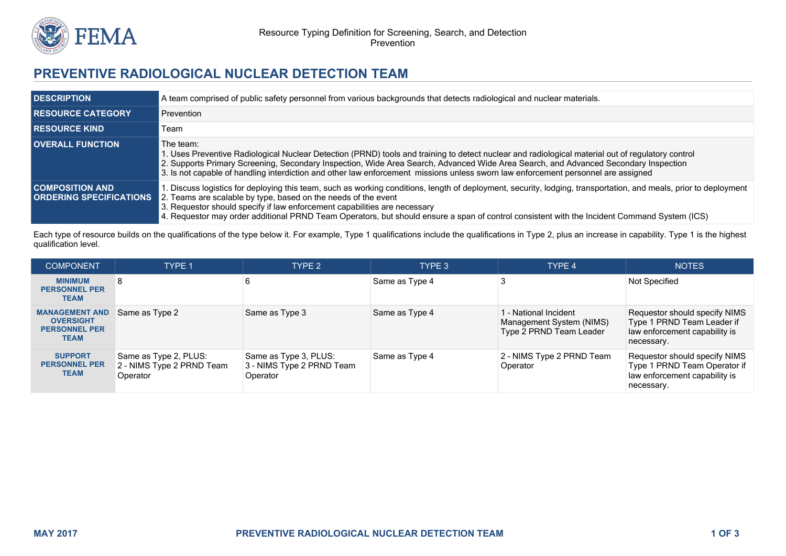

## **PREVENTIVE RADIOLOGICAL NUCLEAR DETECTION TEAM**

| <b>DESCRIPTION</b>                                       | A team comprised of public safety personnel from various backgrounds that detects radiological and nuclear materials.                                                                                                                                                                                                                                                                                                                                            |
|----------------------------------------------------------|------------------------------------------------------------------------------------------------------------------------------------------------------------------------------------------------------------------------------------------------------------------------------------------------------------------------------------------------------------------------------------------------------------------------------------------------------------------|
| <b>RESOURCE CATEGORY</b>                                 | Prevention                                                                                                                                                                                                                                                                                                                                                                                                                                                       |
| <b>I RESOURCE KIND</b>                                   | Team                                                                                                                                                                                                                                                                                                                                                                                                                                                             |
| <b>OVERALL FUNCTION</b>                                  | The team:<br>1. Uses Preventive Radiological Nuclear Detection (PRND) tools and training to detect nuclear and radiological material out of regulatory control<br>2. Supports Primary Screening, Secondary Inspection, Wide Area Search, Advanced Wide Area Search, and Advanced Secondary Inspection<br>3. Is not capable of handling interdiction and other law enforcement missions unless sworn law enforcement personnel are assigned                       |
| <b>COMPOSITION AND</b><br><b>ORDERING SPECIFICATIONS</b> | 1. Discuss logistics for deploying this team, such as working conditions, length of deployment, security, lodging, transportation, and meals, prior to deployment<br>2. Teams are scalable by type, based on the needs of the event<br>3. Requestor should specify if law enforcement capabilities are necessary<br>4. Requestor may order additional PRND Team Operators, but should ensure a span of control consistent with the Incident Command System (ICS) |

Each type of resource builds on the qualifications of the type below it. For example, Type 1 qualifications include the qualifications in Type 2, plus an increase in capability. Type 1 is the highest qualification level.

| <b>COMPONENT</b>                                                                 | TYPE 1                                                         | TYPE 2                                                         | TYPE <sub>3</sub> | TYPE 4                                                                       | <b>NOTES</b>                                                                                                 |
|----------------------------------------------------------------------------------|----------------------------------------------------------------|----------------------------------------------------------------|-------------------|------------------------------------------------------------------------------|--------------------------------------------------------------------------------------------------------------|
| <b>MINIMUM</b><br><b>PERSONNEL PER</b><br><b>TEAM</b>                            | 8                                                              |                                                                | Same as Type 4    |                                                                              | Not Specified                                                                                                |
| <b>MANAGEMENT AND</b><br><b>OVERSIGHT</b><br><b>PERSONNEL PER</b><br><b>TEAM</b> | Same as Type 2                                                 | Same as Type 3                                                 | Same as Type 4    | 1 - National Incident<br>Management System (NIMS)<br>Type 2 PRND Team Leader | Requestor should specify NIMS<br>Type 1 PRND Team Leader if<br>law enforcement capability is<br>necessary.   |
| <b>SUPPORT</b><br><b>PERSONNEL PER</b><br><b>TEAM</b>                            | Same as Type 2, PLUS:<br>2 - NIMS Type 2 PRND Team<br>Operator | Same as Type 3, PLUS:<br>3 - NIMS Type 2 PRND Team<br>Operator | Same as Type 4    | 2 - NIMS Type 2 PRND Team<br>Operator                                        | Requestor should specify NIMS<br>Type 1 PRND Team Operator if<br>law enforcement capability is<br>necessary. |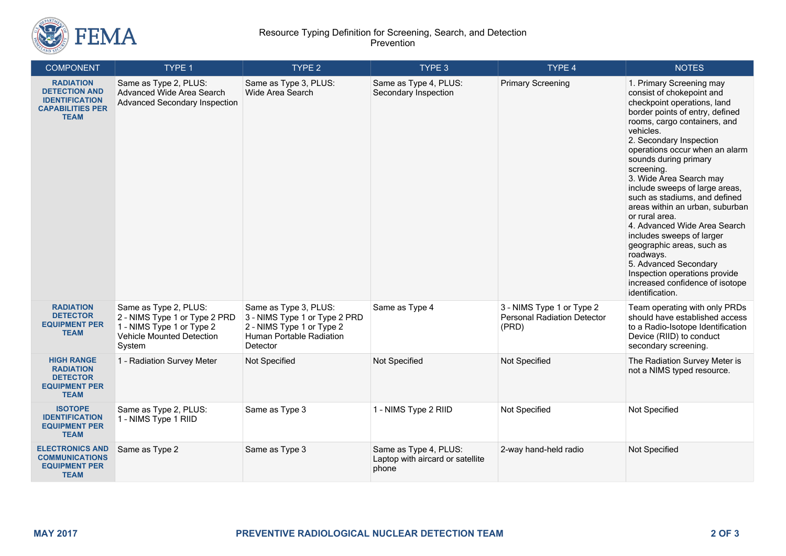

## Resource Typing Definition for Screening, Search, and Detection Prevention

| <b>COMPONENT</b>                                                                                            | TYPE 1                                                                                                                            | TYPE 2                                                                                                                      | TYPE 3                                                             | TYPE 4                                                                   | <b>NOTES</b>                                                                                                                                                                                                                                                                                                                                                                                                                                                                                                                                                                                                                                       |
|-------------------------------------------------------------------------------------------------------------|-----------------------------------------------------------------------------------------------------------------------------------|-----------------------------------------------------------------------------------------------------------------------------|--------------------------------------------------------------------|--------------------------------------------------------------------------|----------------------------------------------------------------------------------------------------------------------------------------------------------------------------------------------------------------------------------------------------------------------------------------------------------------------------------------------------------------------------------------------------------------------------------------------------------------------------------------------------------------------------------------------------------------------------------------------------------------------------------------------------|
| <b>RADIATION</b><br><b>DETECTION AND</b><br><b>IDENTIFICATION</b><br><b>CAPABILITIES PER</b><br><b>TEAM</b> | Same as Type 2, PLUS:<br>Advanced Wide Area Search<br><b>Advanced Secondary Inspection</b>                                        | Same as Type 3, PLUS:<br>Wide Area Search                                                                                   | Same as Type 4, PLUS:<br>Secondary Inspection                      | <b>Primary Screening</b>                                                 | 1. Primary Screening may<br>consist of chokepoint and<br>checkpoint operations, land<br>border points of entry, defined<br>rooms, cargo containers, and<br>vehicles.<br>2. Secondary Inspection<br>operations occur when an alarm<br>sounds during primary<br>screening.<br>3. Wide Area Search may<br>include sweeps of large areas,<br>such as stadiums, and defined<br>areas within an urban, suburban<br>or rural area.<br>4. Advanced Wide Area Search<br>includes sweeps of larger<br>geographic areas, such as<br>roadways.<br>5. Advanced Secondary<br>Inspection operations provide<br>increased confidence of isotope<br>identification. |
| <b>RADIATION</b><br><b>DETECTOR</b><br><b>EQUIPMENT PER</b><br><b>TEAM</b>                                  | Same as Type 2, PLUS:<br>2 - NIMS Type 1 or Type 2 PRD<br>1 - NIMS Type 1 or Type 2<br><b>Vehicle Mounted Detection</b><br>System | Same as Type 3, PLUS:<br>3 - NIMS Type 1 or Type 2 PRD<br>2 - NIMS Type 1 or Type 2<br>Human Portable Radiation<br>Detector | Same as Type 4                                                     | 3 - NIMS Type 1 or Type 2<br><b>Personal Radiation Detector</b><br>(PRD) | Team operating with only PRDs<br>should have established access<br>to a Radio-Isotope Identification<br>Device (RIID) to conduct<br>secondary screening.                                                                                                                                                                                                                                                                                                                                                                                                                                                                                           |
| <b>HIGH RANGE</b><br><b>RADIATION</b><br><b>DETECTOR</b><br><b>EQUIPMENT PER</b><br><b>TEAM</b>             | 1 - Radiation Survey Meter                                                                                                        | Not Specified                                                                                                               | Not Specified                                                      | Not Specified                                                            | The Radiation Survey Meter is<br>not a NIMS typed resource.                                                                                                                                                                                                                                                                                                                                                                                                                                                                                                                                                                                        |
| <b>ISOTOPE</b><br><b>IDENTIFICATION</b><br><b>EQUIPMENT PER</b><br><b>TEAM</b>                              | Same as Type 2, PLUS:<br>1 - NIMS Type 1 RIID                                                                                     | Same as Type 3                                                                                                              | 1 - NIMS Type 2 RIID                                               | Not Specified                                                            | Not Specified                                                                                                                                                                                                                                                                                                                                                                                                                                                                                                                                                                                                                                      |
| <b>ELECTRONICS AND</b><br><b>COMMUNICATIONS</b><br><b>EQUIPMENT PER</b><br><b>TEAM</b>                      | Same as Type 2                                                                                                                    | Same as Type 3                                                                                                              | Same as Type 4, PLUS:<br>Laptop with aircard or satellite<br>phone | 2-way hand-held radio                                                    | Not Specified                                                                                                                                                                                                                                                                                                                                                                                                                                                                                                                                                                                                                                      |